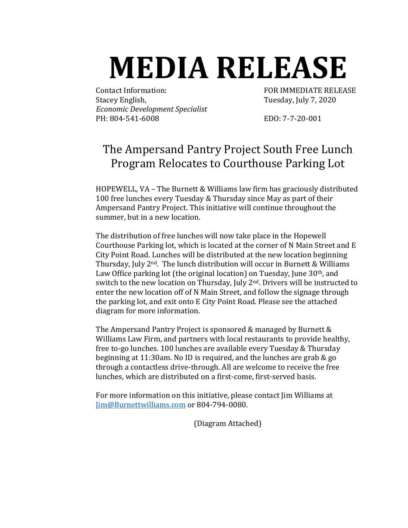## **MEDIA RELEASE**

Contact Information: FOR IMMEDIATE RELEASE Stacey English, Tuesday, July 7, 2020 *Economic Development Specialist* PH: 804-541-6008 EDO: 7-7-20-001

## The Ampersand Pantry Project South Free Lunch Program Relocates to Courthouse Parking Lot

HOPEWELL, VA – The Burnett & Williams law firm has graciously distributed 100 free lunches every Tuesday & Thursday since May as part of their Ampersand Pantry Project. This initiative will continue throughout the summer, but in a new location.

The distribution of free lunches will now take place in the Hopewell Courthouse Parking lot, which is located at the corner of N Main Street and E City Point Road. Lunches will be distributed at the new location beginning Thursday, July  $2<sup>nd</sup>$ . The lunch distribution will occur in Burnett & Williams Law Office parking lot (the original location) on Tuesday, June 30<sup>th</sup>, and switch to the new location on Thursday, July 2<sup>nd</sup>. Drivers will be instructed to enter the new location off of N Main Street, and follow the signage through the parking lot, and exit onto E City Point Road. Please see the attached diagram for more information.

The Ampersand Pantry Project is sponsored & managed by Burnett & Williams Law Firm, and partners with local restaurants to provide healthy, free to-go lunches. 100 lunches are available every Tuesday & Thursday beginning at 11:30am. No ID is required, and the lunches are grab & go through a contactless drive-through. All are welcome to receive the free lunches, which are distributed on a first-come, first-served basis.

For more information on this initiative, please contact Jim Williams at [Jim@Burnettwilliams.com](mailto:Jim@Burnettwilliams.com) or 804-794-0080.

(Diagram Attached)